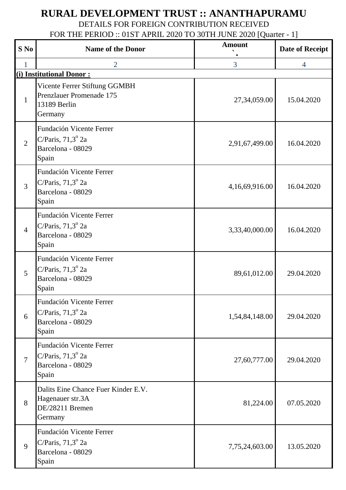## **RURAL DEVELOPMENT TRUST :: ANANTHAPURAMU**

DETAILS FOR FOREIGN CONTRIBUTION RECEIVED

FOR THE PERIOD :: 01ST APRIL 2020 TO 30TH JUNE 2020 [Quarter - 1]

| $S$ No                   | <b>Name of the Donor</b>                                                                    | <b>Amount</b>  | Date of Receipt |  |  |  |
|--------------------------|---------------------------------------------------------------------------------------------|----------------|-----------------|--|--|--|
|                          | 2                                                                                           | 3              | 4               |  |  |  |
| (i) Institutional Donor: |                                                                                             |                |                 |  |  |  |
| 1                        | Vicente Ferrer Stiftung GGMBH<br>Prenzlauer Promenade 175<br>13189 Berlin<br>Germany        | 27,34,059.00   | 15.04.2020      |  |  |  |
| $\overline{2}$           | Fundación Vicente Ferrer<br>C/Paris, $71,3^{\circ}$ 2a<br>Barcelona - 08029<br>Spain        | 2,91,67,499.00 | 16.04.2020      |  |  |  |
| 3                        | Fundación Vicente Ferrer<br>C/Paris, $71,3^{\circ}$ 2a<br>Barcelona - 08029<br>Spain        | 4,16,69,916.00 | 16.04.2020      |  |  |  |
| $\overline{4}$           | Fundación Vicente Ferrer<br>C/Paris, $71,3^{\circ}$ 2a<br>Barcelona - 08029<br>Spain        | 3,33,40,000.00 | 16.04.2020      |  |  |  |
| 5                        | <b>Fundación Vicente Ferrer</b><br>C/Paris, $71,3^{\circ}$ 2a<br>Barcelona - 08029<br>Spain | 89,61,012.00   | 29.04.2020      |  |  |  |
| 6                        | Fundación Vicente Ferrer<br>C/Paris, $71,3^{\circ}$ 2a<br>Barcelona - 08029<br>Spain        | 1,54,84,148.00 | 29.04.2020      |  |  |  |
| $\overline{7}$           | Fundación Vicente Ferrer<br>C/Paris, $71,3^{\circ}$ 2a<br>Barcelona - 08029<br>Spain        | 27,60,777.00   | 29.04.2020      |  |  |  |
| 8                        | Dalits Eine Chance Fuer Kinder E.V.<br>Hagenauer str.3A<br>DE/28211 Bremen<br>Germany       | 81,224.00      | 07.05.2020      |  |  |  |
| 9                        | <b>Fundación Vicente Ferrer</b><br>C/Paris, $71,3^{\circ}$ 2a<br>Barcelona - 08029<br>Spain | 7,75,24,603.00 | 13.05.2020      |  |  |  |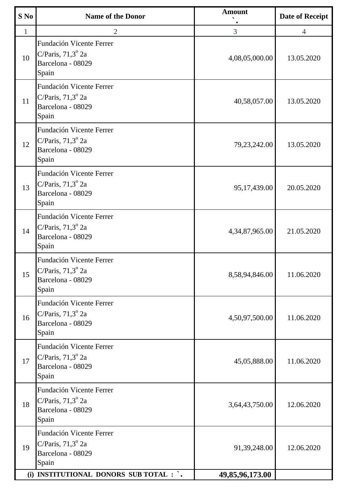| $S$ No       | <b>Name of the Donor</b>                                                                    | <b>Amount</b>   | <b>Date of Receipt</b> |
|--------------|---------------------------------------------------------------------------------------------|-----------------|------------------------|
| $\mathbf{1}$ | $\overline{2}$                                                                              | 3               | $\overline{4}$         |
| 10           | <b>Fundación Vicente Ferrer</b><br>C/Paris, $71,3^{\circ}$ 2a<br>Barcelona - 08029<br>Spain | 4,08,05,000.00  | 13.05.2020             |
| 11           | Fundación Vicente Ferrer<br>C/Paris, $71,3^{\circ}$ 2a<br>Barcelona - 08029<br>Spain        | 40,58,057.00    | 13.05.2020             |
| 12           | Fundación Vicente Ferrer<br>C/Paris, $71,3^{\circ}$ 2a<br>Barcelona - 08029<br>Spain        | 79,23,242.00    | 13.05.2020             |
| 13           | <b>Fundación Vicente Ferrer</b><br>C/Paris, $71,3^{\circ}$ 2a<br>Barcelona - 08029<br>Spain | 95,17,439.00    | 20.05.2020             |
| 14           | <b>Fundación Vicente Ferrer</b><br>C/Paris, $71,3^{\circ}$ 2a<br>Barcelona - 08029<br>Spain | 4,34,87,965.00  | 21.05.2020             |
| 15           | <b>Fundación Vicente Ferrer</b><br>C/Paris, $71,3^{\circ}$ 2a<br>Barcelona - 08029<br>Spain | 8,58,94,846.00  | 11.06.2020             |
| 16           | Fundación Vicente Ferrer<br>C/Paris, $71,3^{\circ}$ 2a<br>Barcelona - 08029<br>Spain        | 4,50,97,500.00  | 11.06.2020             |
| 17           | <b>Fundación Vicente Ferrer</b><br>C/Paris, $71,3^{\circ}$ 2a<br>Barcelona - 08029<br>Spain | 45,05,888.00    | 11.06.2020             |
| 18           | <b>Fundación Vicente Ferrer</b><br>C/Paris, $71,3^{\circ}$ 2a<br>Barcelona - 08029<br>Spain | 3,64,43,750.00  | 12.06.2020             |
| 19           | Fundación Vicente Ferrer<br>C/Paris, $71,3^{\circ}$ 2a<br>Barcelona - 08029<br>Spain        | 91,39,248.00    | 12.06.2020             |
|              | (i) INSTITUTIONAL DONORS SUB TOTAL : `.                                                     | 49,85,96,173.00 |                        |